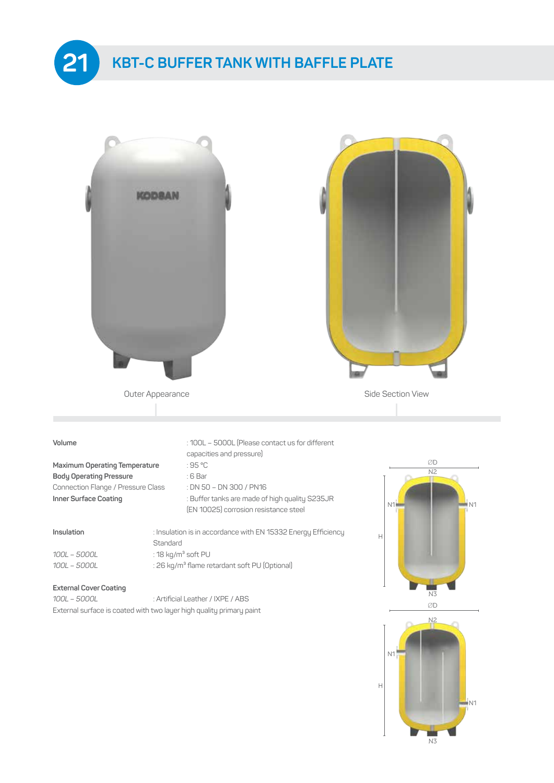

# **KBT-C BUFFER TANK WITH BAFFLE PLATE**





## **Maximum Operating Temperature Body Operating Pressure CE Bar**

Connection Flange / Pressure Class : DN 50 – DN 300 / PN16 **Inner Surface Coating** : Buffer tanks are made of high quality S235JR

|  | 100L – 5000L |
|--|--------------|
|  | 100L – 5000L |

### **Volume** : 100L – 5000L (Please contact us for different capacities and pressure)

| $-$<br>$\sim$<br>on a |  |
|-----------------------|--|
|-----------------------|--|

- 
- 
- (EN 10025) corrosion resistance steel

**Insulation Insulation is in accordance with EN 15332 Energy Efficiency**  Standard *100L – 5000L* : 18 kg/m³ soft PU

*100L – 5000L* : 26 kg/m³ flame retardant soft PU (Optional)

### **External Cover Coating**

| 100L - 5000L | : Artificial Leather / IXPE / ABS                                    |
|--------------|----------------------------------------------------------------------|
|              | External surface is coated with two layer high quality primary paint |